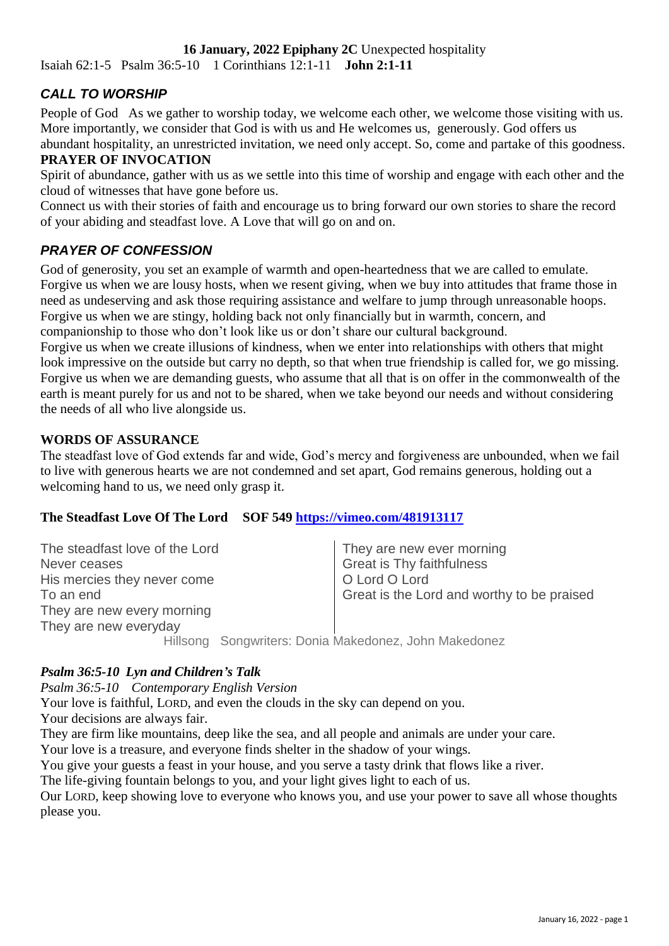#### **16 January, 2022 Epiphany 2C** Unexpected hospitality

Isaiah 62:1-5 Psalm 36:5-10 1 Corinthians 12:1-11 **John 2:1-11**

## *CALL TO WORSHIP*

People of God As we gather to worship today, we welcome each other, we welcome those visiting with us. More importantly, we consider that God is with us and He welcomes us, generously. God offers us abundant hospitality, an unrestricted invitation, we need only accept. So, come and partake of this goodness.

#### **PRAYER OF INVOCATION**

Spirit of abundance, gather with us as we settle into this time of worship and engage with each other and the cloud of witnesses that have gone before us.

Connect us with their stories of faith and encourage us to bring forward our own stories to share the record of your abiding and steadfast love. A Love that will go on and on.

# *PRAYER OF CONFESSION*

God of generosity, you set an example of warmth and open-heartedness that we are called to emulate. Forgive us when we are lousy hosts, when we resent giving, when we buy into attitudes that frame those in need as undeserving and ask those requiring assistance and welfare to jump through unreasonable hoops. Forgive us when we are stingy, holding back not only financially but in warmth, concern, and companionship to those who don't look like us or don't share our cultural background.

Forgive us when we create illusions of kindness, when we enter into relationships with others that might look impressive on the outside but carry no depth, so that when true friendship is called for, we go missing. Forgive us when we are demanding guests, who assume that all that is on offer in the commonwealth of the earth is meant purely for us and not to be shared, when we take beyond our needs and without considering the needs of all who live alongside us.

#### **WORDS OF ASSURANCE**

The steadfast love of God extends far and wide, God's mercy and forgiveness are unbounded, when we fail to live with generous hearts we are not condemned and set apart, God remains generous, holding out a welcoming hand to us, we need only grasp it.

#### **The Steadfast Love Of The Lord SOF 549 <https://vimeo.com/481913117>**

| The steadfast love of the Lord |                                                       | They are new ever morning                  |
|--------------------------------|-------------------------------------------------------|--------------------------------------------|
| Never ceases                   |                                                       | <b>Great is Thy faithfulness</b>           |
| His mercies they never come    |                                                       | O Lord O Lord                              |
| To an end                      |                                                       | Great is the Lord and worthy to be praised |
| They are new every morning     |                                                       |                                            |
| They are new everyday          |                                                       |                                            |
|                                | Hillsong Songwriters: Donia Makedonez, John Makedonez |                                            |

#### *Psalm 36:5-10 Lyn and Children's Talk*

*Psalm 36:5-10 Contemporary English Version*

Your love is faithful, LORD, and even the clouds in the sky can depend on you.

Your decisions are always fair.

They are firm like mountains, deep like the sea, and all people and animals are under your care.

Your love is a treasure, and everyone finds shelter in the shadow of your wings.

You give your guests a feast in your house, and you serve a tasty drink that flows like a river.

The life-giving fountain belongs to you, and your light gives light to each of us.

Our LORD, keep showing love to everyone who knows you, and use your power to save all whose thoughts please you.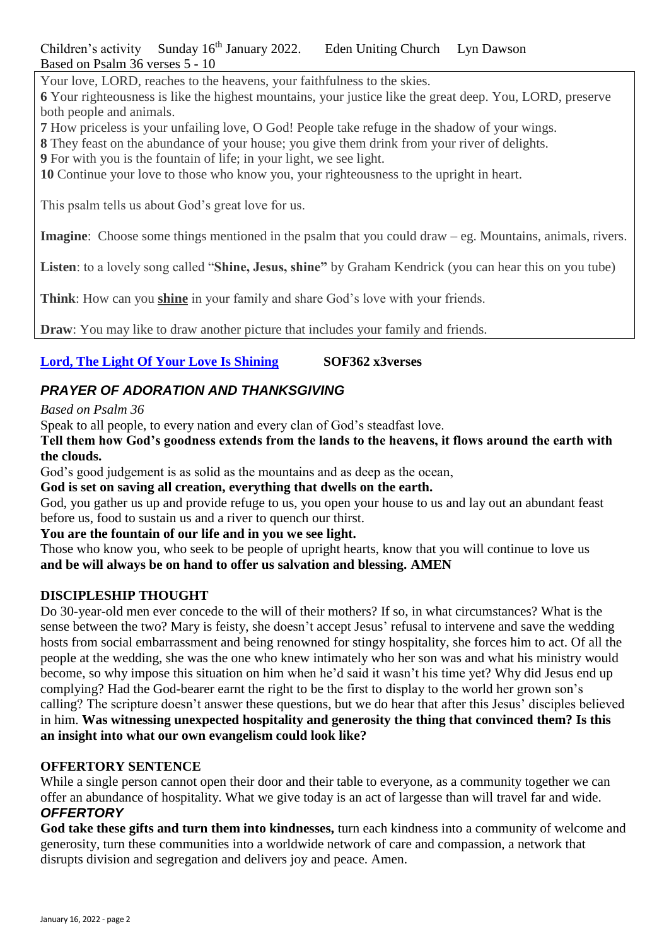Children's activity Sunday 16<sup>th</sup> January 2022. Eden Uniting Church Lyn Dawson Based on Psalm 36 verses 5 - 10

Your love, LORD, reaches to the heavens, your faithfulness to the skies.

**6** Your righteousness is like the highest mountains, your justice like the great deep. You, LORD, preserve both people and animals.

**7** How priceless is your unfailing love, O God! People take refuge in the shadow of your wings.

**8** They feast on the abundance of your house; you give them drink from your river of delights.

**9** For with you is the fountain of life; in your light, we see light.

**10** Continue your love to those who know you, your righteousness to the upright in heart.

This psalm tells us about God's great love for us.

**Imagine**: Choose some things mentioned in the psalm that you could draw – eg. Mountains, animals, rivers.

**Listen**: to a lovely song called "**Shine, Jesus, shine"** by Graham Kendrick (you can hear this on you tube)

**Think**: How can you **shine** in your family and share God's love with your friends.

**Draw**: You may like to draw another picture that includes your family and friends.

## **[Lord, The Light Of Your Love Is Shining](https://www.youtube.com/watch?v=op17raOTXbk) SOF362 x3verses**

## *PRAYER OF ADORATION AND THANKSGIVING*

*Based on Psalm 36*

Speak to all people, to every nation and every clan of God's steadfast love.

**Tell them how God's goodness extends from the lands to the heavens, it flows around the earth with the clouds.**

God's good judgement is as solid as the mountains and as deep as the ocean,

**God is set on saving all creation, everything that dwells on the earth.**

God, you gather us up and provide refuge to us, you open your house to us and lay out an abundant feast before us, food to sustain us and a river to quench our thirst.

**You are the fountain of our life and in you we see light.**

Those who know you, who seek to be people of upright hearts, know that you will continue to love us **and be will always be on hand to offer us salvation and blessing. AMEN**

## **DISCIPLESHIP THOUGHT**

Do 30-year-old men ever concede to the will of their mothers? If so, in what circumstances? What is the sense between the two? Mary is feisty, she doesn't accept Jesus' refusal to intervene and save the wedding hosts from social embarrassment and being renowned for stingy hospitality, she forces him to act. Of all the people at the wedding, she was the one who knew intimately who her son was and what his ministry would become, so why impose this situation on him when he'd said it wasn't his time yet? Why did Jesus end up complying? Had the God-bearer earnt the right to be the first to display to the world her grown son's calling? The scripture doesn't answer these questions, but we do hear that after this Jesus' disciples believed in him. **Was witnessing unexpected hospitality and generosity the thing that convinced them? Is this an insight into what our own evangelism could look like?**

## **OFFERTORY SENTENCE**

While a single person cannot open their door and their table to everyone, as a community together we can offer an abundance of hospitality. What we give today is an act of largesse than will travel far and wide. *OFFERTORY*

**God take these gifts and turn them into kindnesses,** turn each kindness into a community of welcome and generosity, turn these communities into a worldwide network of care and compassion, a network that disrupts division and segregation and delivers joy and peace. Amen.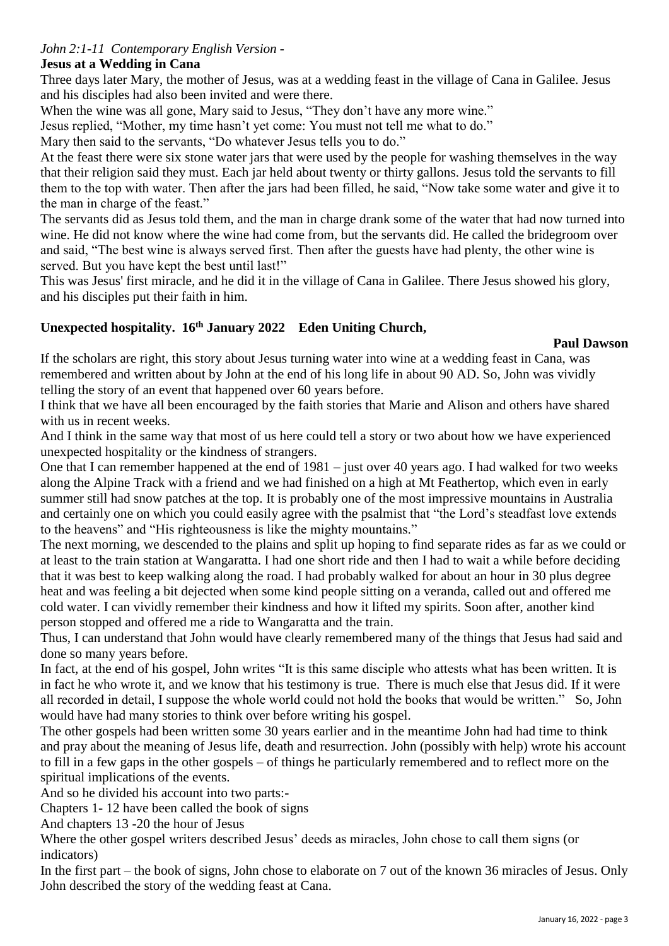#### *John 2:1-11 Contemporary English Version -*

#### **Jesus at a Wedding in Cana**

Three days later Mary, the mother of Jesus, was at a wedding feast in the village of Cana in Galilee. Jesus and his disciples had also been invited and were there.

When the wine was all gone, Mary said to Jesus, "They don't have any more wine."

Jesus replied, "Mother, my time hasn't yet come: You must not tell me what to do."

Mary then said to the servants, "Do whatever Jesus tells you to do."

At the feast there were six stone water jars that were used by the people for washing themselves in the way that their religion said they must. Each jar held about twenty or thirty gallons. Jesus told the servants to fill them to the top with water. Then after the jars had been filled, he said, "Now take some water and give it to the man in charge of the feast."

The servants did as Jesus told them, and the man in charge drank some of the water that had now turned into wine. He did not know where the wine had come from, but the servants did. He called the bridegroom over and said, "The best wine is always served first. Then after the guests have had plenty, the other wine is served. But you have kept the best until last!"

This was Jesus' first miracle, and he did it in the village of Cana in Galilee. There Jesus showed his glory, and his disciples put their faith in him.

## **Unexpected hospitality. 16th January 2022 Eden Uniting Church,**

#### **Paul Dawson**

If the scholars are right, this story about Jesus turning water into wine at a wedding feast in Cana, was remembered and written about by John at the end of his long life in about 90 AD. So, John was vividly telling the story of an event that happened over 60 years before.

I think that we have all been encouraged by the faith stories that Marie and Alison and others have shared with us in recent weeks.

And I think in the same way that most of us here could tell a story or two about how we have experienced unexpected hospitality or the kindness of strangers.

One that I can remember happened at the end of 1981 – just over 40 years ago. I had walked for two weeks along the Alpine Track with a friend and we had finished on a high at Mt Feathertop, which even in early summer still had snow patches at the top. It is probably one of the most impressive mountains in Australia and certainly one on which you could easily agree with the psalmist that "the Lord's steadfast love extends to the heavens" and "His righteousness is like the mighty mountains."

The next morning, we descended to the plains and split up hoping to find separate rides as far as we could or at least to the train station at Wangaratta. I had one short ride and then I had to wait a while before deciding that it was best to keep walking along the road. I had probably walked for about an hour in 30 plus degree heat and was feeling a bit dejected when some kind people sitting on a veranda, called out and offered me cold water. I can vividly remember their kindness and how it lifted my spirits. Soon after, another kind person stopped and offered me a ride to Wangaratta and the train.

Thus, I can understand that John would have clearly remembered many of the things that Jesus had said and done so many years before.

In fact, at the end of his gospel, John writes "It is this same disciple who attests what has been written. It is in fact he who wrote it, and we know that his testimony is true. There is much else that Jesus did. If it were all recorded in detail, I suppose the whole world could not hold the books that would be written." So, John would have had many stories to think over before writing his gospel.

The other gospels had been written some 30 years earlier and in the meantime John had had time to think and pray about the meaning of Jesus life, death and resurrection. John (possibly with help) wrote his account to fill in a few gaps in the other gospels – of things he particularly remembered and to reflect more on the spiritual implications of the events.

And so he divided his account into two parts:-

Chapters 1- 12 have been called the book of signs

And chapters 13 -20 the hour of Jesus

Where the other gospel writers described Jesus' deeds as miracles, John chose to call them signs (or indicators)

In the first part – the book of signs, John chose to elaborate on 7 out of the known 36 miracles of Jesus. Only John described the story of the wedding feast at Cana.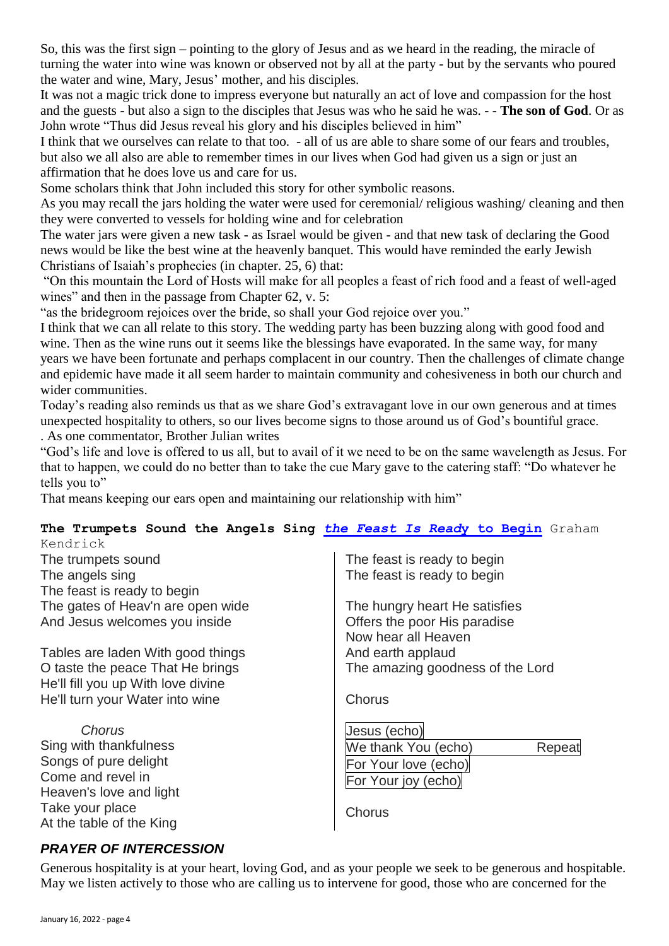So, this was the first sign – pointing to the glory of Jesus and as we heard in the reading, the miracle of turning the water into wine was known or observed not by all at the party - but by the servants who poured the water and wine, Mary, Jesus' mother, and his disciples.

It was not a magic trick done to impress everyone but naturally an act of love and compassion for the host and the guests - but also a sign to the disciples that Jesus was who he said he was. - - **The son of God**. Or as John wrote "Thus did Jesus reveal his glory and his disciples believed in him"

I think that we ourselves can relate to that too. - all of us are able to share some of our fears and troubles, but also we all also are able to remember times in our lives when God had given us a sign or just an affirmation that he does love us and care for us.

Some scholars think that John included this story for other symbolic reasons.

As you may recall the jars holding the water were used for ceremonial/ religious washing/ cleaning and then they were converted to vessels for holding wine and for celebration

The water jars were given a new task - as Israel would be given - and that new task of declaring the Good news would be like the best wine at the heavenly banquet. This would have reminded the early Jewish Christians of Isaiah's prophecies (in chapter. 25, 6) that:

"On this mountain the Lord of Hosts will make for all peoples a feast of rich food and a feast of well-aged wines" and then in the passage from Chapter 62, v. 5:

"as the bridegroom rejoices over the bride, so shall your God rejoice over you."

I think that we can all relate to this story. The wedding party has been buzzing along with good food and wine. Then as the wine runs out it seems like the blessings have evaporated. In the same way, for many years we have been fortunate and perhaps complacent in our country. Then the challenges of climate change and epidemic have made it all seem harder to maintain community and cohesiveness in both our church and wider communities.

Today's reading also reminds us that as we share God's extravagant love in our own generous and at times unexpected hospitality to others, so our lives become signs to those around us of God's bountiful grace. . As one commentator, Brother Julian writes

"God's life and love is offered to us all, but to avail of it we need to be on the same wavelength as Jesus. For that to happen, we could do no better than to take the cue Mary gave to the catering staff: "Do whatever he tells you to"

That means keeping our ears open and maintaining our relationship with him"

#### **The Trumpets Sound the Angels Sing** *[the Feast Is Read](https://www.youtube.com/watch?v=5xcmEce9Ep4)***y to Begin** Graham Kendrick

| The feast is ready to begin      |
|----------------------------------|
| The feast is ready to begin      |
|                                  |
| The hungry heart He satisfies    |
| Offers the poor His paradise     |
| Now hear all Heaven              |
| And earth applaud                |
| The amazing goodness of the Lord |
|                                  |
| Chorus                           |
| Jesus (echo)                     |
| We thank You (echo)<br>Repeat    |
| For Your love (echo)             |
| For Your joy (echo)              |
|                                  |
| Chorus                           |
|                                  |
|                                  |

## *PRAYER OF INTERCESSION*

Generous hospitality is at your heart, loving God, and as your people we seek to be generous and hospitable. May we listen actively to those who are calling us to intervene for good, those who are concerned for the